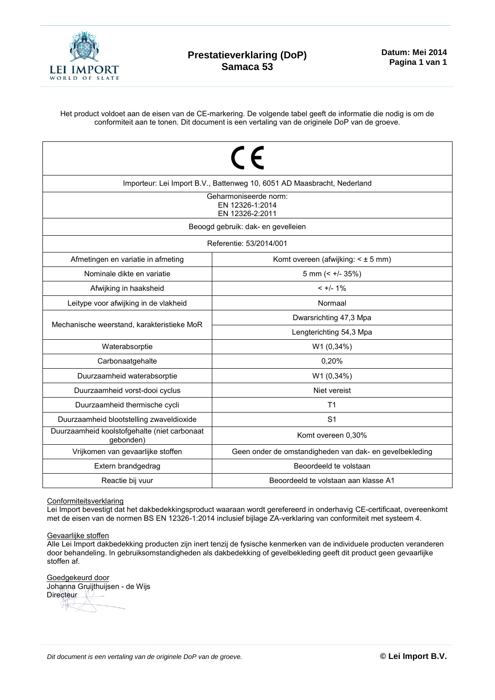

Het product voldoet aan de eisen van de CE-markering. De volgende tabel geeft de informatie die nodig is om de conformiteit aan te tonen. Dit document is een vertaling van de originele DoP van de groeve.

| $\epsilon$<br>Importeur: Lei Import B.V., Battenweg 10, 6051 AD Maasbracht, Nederland<br>Geharmoniseerde norm:<br>FN 12326-1:2014 |                                                         |  |  |  |  |  |  |
|-----------------------------------------------------------------------------------------------------------------------------------|---------------------------------------------------------|--|--|--|--|--|--|
| EN 12326-2:2011<br>Beoogd gebruik: dak- en gevelleien                                                                             |                                                         |  |  |  |  |  |  |
| Referentie: 53/2014/001                                                                                                           |                                                         |  |  |  |  |  |  |
| Afmetingen en variatie in afmeting<br>Komt overeen (afwijking: $\leq \pm 5$ mm)                                                   |                                                         |  |  |  |  |  |  |
| Nominale dikte en variatie                                                                                                        | 5 mm $(< +/- 35%)$                                      |  |  |  |  |  |  |
| Afwijking in haaksheid                                                                                                            | $< +/- 1\%$                                             |  |  |  |  |  |  |
| Leitype voor afwijking in de vlakheid                                                                                             | Normaal                                                 |  |  |  |  |  |  |
| Mechanische weerstand, karakteristieke MoR                                                                                        | Dwarsrichting 47,3 Mpa                                  |  |  |  |  |  |  |
|                                                                                                                                   | Lengterichting 54,3 Mpa                                 |  |  |  |  |  |  |
| Waterabsorptie                                                                                                                    | W1 (0,34%)                                              |  |  |  |  |  |  |
| Carbonaatgehalte                                                                                                                  | 0,20%                                                   |  |  |  |  |  |  |
| Duurzaamheid waterabsorptie                                                                                                       | W1 (0,34%)                                              |  |  |  |  |  |  |
| Duurzaamheid vorst-dooi cyclus                                                                                                    | Niet vereist                                            |  |  |  |  |  |  |
| Duurzaamheid thermische cycli                                                                                                     | T <sub>1</sub>                                          |  |  |  |  |  |  |
| Duurzaamheid blootstelling zwaveldioxide                                                                                          | S <sub>1</sub>                                          |  |  |  |  |  |  |
| Duurzaamheid koolstofgehalte (niet carbonaat<br>gebonden)                                                                         | Komt overeen 0,30%                                      |  |  |  |  |  |  |
| Vrijkomen van gevaarlijke stoffen                                                                                                 | Geen onder de omstandigheden van dak- en gevelbekleding |  |  |  |  |  |  |
| Extern brandgedrag                                                                                                                | Beoordeeld te volstaan                                  |  |  |  |  |  |  |
| Reactie bij vuur                                                                                                                  | Beoordeeld te volstaan aan klasse A1                    |  |  |  |  |  |  |

## Conformiteitsverklaring

Lei Import bevestigt dat het dakbedekkingsproduct waaraan wordt gerefereerd in onderhavig CE-certificaat, overeenkomt met de eisen van de normen BS EN 12326-1:2014 inclusief bijlage ZA-verklaring van conformiteit met systeem 4.

## Gevaarlijke stoffen

Alle Lei Import dakbedekking producten zijn inert tenzij de fysische kenmerken van de individuele producten veranderen door behandeling. In gebruiksomstandigheden als dakbedekking of gevelbekleding geeft dit product geen gevaarlijke stoffen af.

Goedgekeurd door Johanna Gruijthuijsen - de Wijs Directeur 升